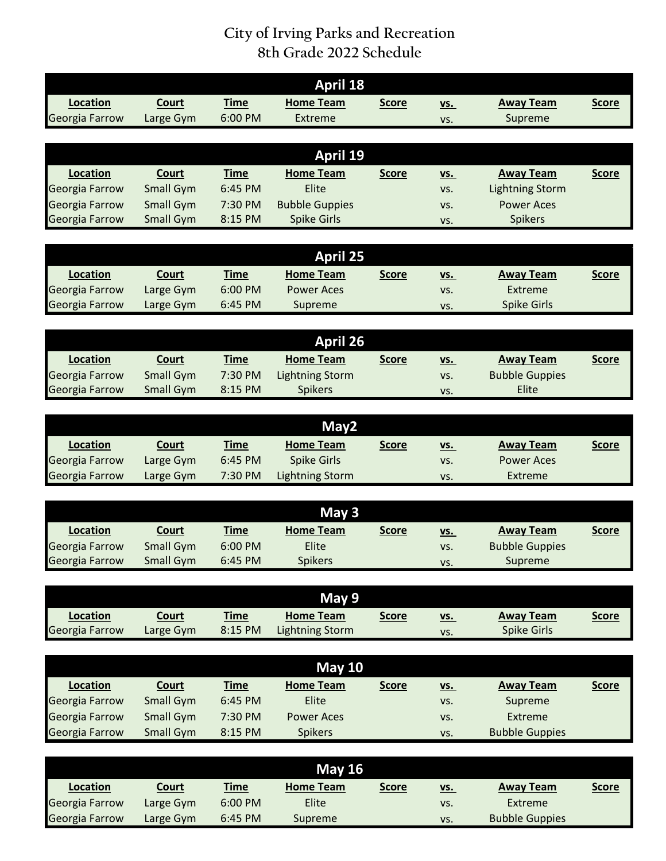## **City of Irving Parks and Recreation 8th Grade 2022 Schedule**

| <b>April 18</b> |                  |             |                        |              |            |                        |              |  |  |  |  |  |
|-----------------|------------------|-------------|------------------------|--------------|------------|------------------------|--------------|--|--|--|--|--|
| <b>Location</b> | <b>Court</b>     | <b>Time</b> | <b>Home Team</b>       | <b>Score</b> | <u>vs.</u> | <b>Away Team</b>       | <b>Score</b> |  |  |  |  |  |
| Georgia Farrow  | Large Gym        | 6:00 PM     | Extreme                |              | VS.        | Supreme                |              |  |  |  |  |  |
|                 |                  |             |                        |              |            |                        |              |  |  |  |  |  |
| <b>April 19</b> |                  |             |                        |              |            |                        |              |  |  |  |  |  |
| <b>Location</b> | Court            | <b>Time</b> | <b>Home Team</b>       | <b>Score</b> | <u>vs.</u> | <b>Away Team</b>       | <b>Score</b> |  |  |  |  |  |
| Georgia Farrow  | <b>Small Gym</b> | 6:45 PM     | Elite                  |              | VS.        | <b>Lightning Storm</b> |              |  |  |  |  |  |
| Georgia Farrow  | <b>Small Gym</b> | 7:30 PM     | <b>Bubble Guppies</b>  |              | VS.        | <b>Power Aces</b>      |              |  |  |  |  |  |
| Georgia Farrow  | <b>Small Gym</b> | 8:15 PM     | <b>Spike Girls</b>     |              | VS.        | <b>Spikers</b>         |              |  |  |  |  |  |
|                 |                  |             |                        |              |            |                        |              |  |  |  |  |  |
| <b>April 25</b> |                  |             |                        |              |            |                        |              |  |  |  |  |  |
| <b>Location</b> | Court            | <b>Time</b> | <b>Home Team</b>       | <b>Score</b> | <u>vs.</u> | <b>Away Team</b>       | <b>Score</b> |  |  |  |  |  |
| Georgia Farrow  | Large Gym        | 6:00 PM     | <b>Power Aces</b>      |              | VS.        | <b>Extreme</b>         |              |  |  |  |  |  |
| Georgia Farrow  | Large Gym        | 6:45 PM     | Supreme                |              | VS.        | <b>Spike Girls</b>     |              |  |  |  |  |  |
|                 |                  |             |                        |              |            |                        |              |  |  |  |  |  |
|                 |                  |             | <b>April 26</b>        |              |            |                        |              |  |  |  |  |  |
| <b>Location</b> | <b>Court</b>     | <b>Time</b> | <b>Home Team</b>       | <b>Score</b> | VS.        | <b>Away Team</b>       | <b>Score</b> |  |  |  |  |  |
| Georgia Farrow  | <b>Small Gym</b> | 7:30 PM     | <b>Lightning Storm</b> |              | VS.        | <b>Bubble Guppies</b>  |              |  |  |  |  |  |
| Georgia Farrow  | <b>Small Gym</b> | 8:15 PM     | <b>Spikers</b>         |              | VS.        | Elite                  |              |  |  |  |  |  |
|                 |                  |             |                        |              |            |                        |              |  |  |  |  |  |
|                 |                  |             | May2                   |              |            |                        |              |  |  |  |  |  |
| <b>Location</b> | Court            | <b>Time</b> | <b>Home Team</b>       | <b>Score</b> | VS.        | <b>Away Team</b>       | <b>Score</b> |  |  |  |  |  |
| Georgia Farrow  | Large Gym        | 6:45 PM     | <b>Spike Girls</b>     |              | VS.        | <b>Power Aces</b>      |              |  |  |  |  |  |
| Georgia Farrow  | Large Gym        | 7:30 PM     | <b>Lightning Storm</b> |              | VS.        | Extreme                |              |  |  |  |  |  |
|                 |                  |             |                        |              |            |                        |              |  |  |  |  |  |
|                 |                  |             | May 3                  |              |            |                        |              |  |  |  |  |  |
| <b>Location</b> | Court            | <b>Time</b> | <b>Home Team</b>       | <b>Score</b> | <u>vs.</u> | <b>Away Team</b>       | <b>Score</b> |  |  |  |  |  |
| Georgia Farrow  | <b>Small Gym</b> | 6:00 PM     | Elite                  |              | VS.        | <b>Bubble Guppies</b>  |              |  |  |  |  |  |
| Georgia Farrow  | <b>Small Gym</b> | 6:45 PM     | Spikers                |              | VS.        | Supreme                |              |  |  |  |  |  |
|                 |                  |             |                        |              |            |                        |              |  |  |  |  |  |
|                 |                  |             | May 9                  |              |            |                        |              |  |  |  |  |  |
| Location        | <b>Court</b>     | <b>Time</b> | <b>Home Team</b>       | <b>Score</b> | <u>vs.</u> | <b>Away Team</b>       | <b>Score</b> |  |  |  |  |  |
| Georgia Farrow  | Large Gym        | 8:15 PM     | <b>Lightning Storm</b> |              | VS.        | <b>Spike Girls</b>     |              |  |  |  |  |  |
|                 |                  |             |                        |              |            |                        |              |  |  |  |  |  |
|                 |                  |             | <b>May 10</b>          |              |            |                        |              |  |  |  |  |  |
| Location        | <b>Court</b>     | <b>Time</b> | <b>Home Team</b>       | <b>Score</b> | <u>vs.</u> | <b>Away Team</b>       | <b>Score</b> |  |  |  |  |  |
| Georgia Farrow  | <b>Small Gym</b> | 6:45 PM     | Elite                  |              | VS.        | Supreme                |              |  |  |  |  |  |
| Georgia Farrow  | <b>Small Gym</b> | 7:30 PM     | <b>Power Aces</b>      |              | VS.        | Extreme                |              |  |  |  |  |  |
| Georgia Farrow  | <b>Small Gym</b> | 8:15 PM     | <b>Spikers</b>         |              | VS.        | <b>Bubble Guppies</b>  |              |  |  |  |  |  |
|                 |                  |             |                        |              |            |                        |              |  |  |  |  |  |
|                 |                  |             | <b>May 16</b>          |              |            |                        |              |  |  |  |  |  |
| <b>Location</b> | <b>Court</b>     | <b>Time</b> | <b>Home Team</b>       | <b>Score</b> | <u>vs.</u> | <b>Away Team</b>       | <b>Score</b> |  |  |  |  |  |
| Georgia Farrow  | Large Gym        | 6:00 PM     | Elite                  |              | VS.        | Extreme                |              |  |  |  |  |  |

Georgia Farrow Large Gym 6:45 PM Supreme vs. Bubble Guppies